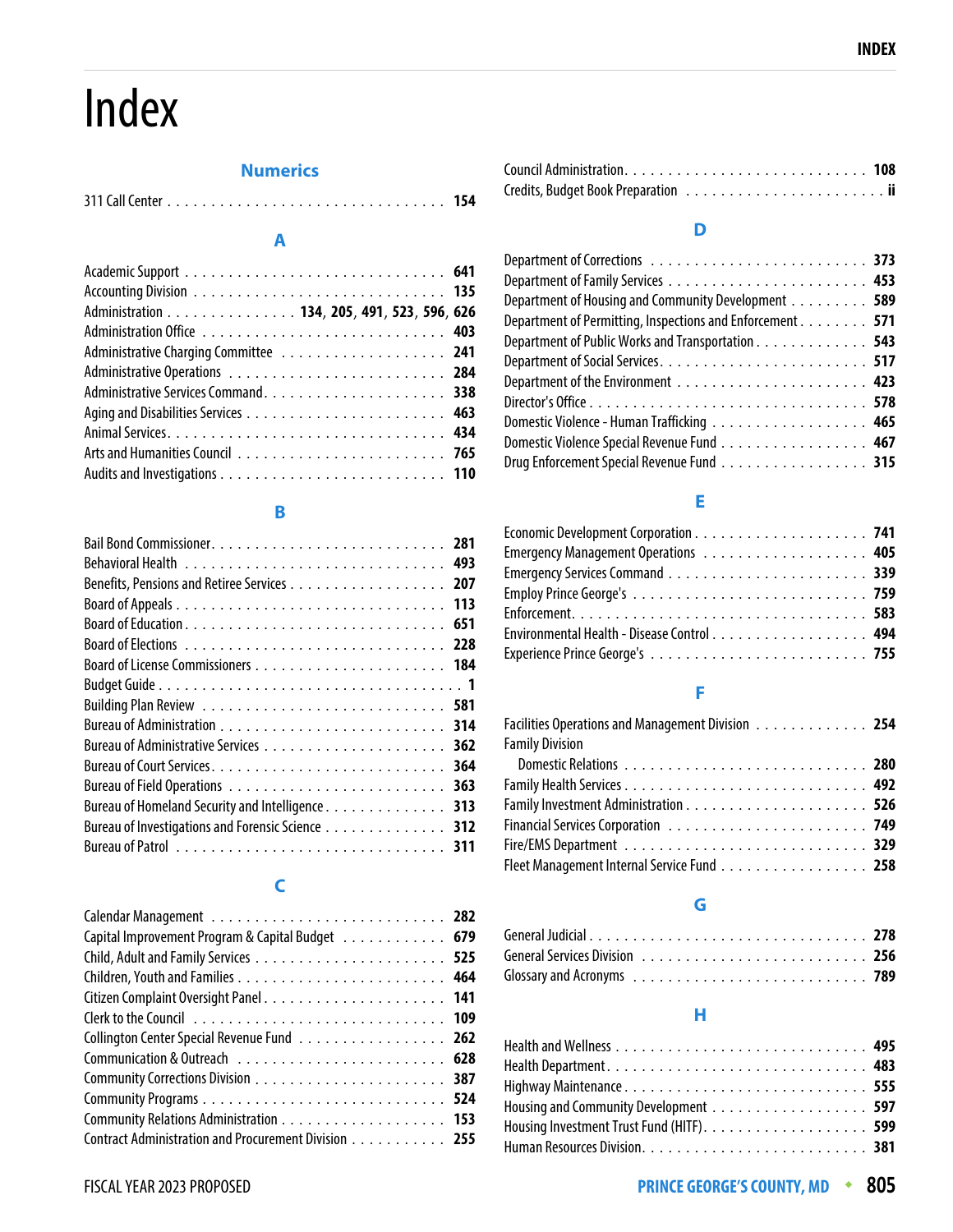# Index

### **Numerics**

#### 311 Call Center . . . . . . . . . . . . . . . . . . . . . . . . . . . . . . . . **154**

#### **A**

| Administration 134, 205, 491, 523, 596, 626 |  |
|---------------------------------------------|--|
|                                             |  |
|                                             |  |
|                                             |  |
|                                             |  |
|                                             |  |
|                                             |  |
|                                             |  |
|                                             |  |

#### **B**

| Benefits, Pensions and Retiree Services 207       |     |
|---------------------------------------------------|-----|
|                                                   |     |
|                                                   |     |
|                                                   |     |
|                                                   |     |
|                                                   |     |
|                                                   |     |
|                                                   |     |
|                                                   | 362 |
|                                                   | 364 |
|                                                   | 363 |
| Bureau of Homeland Security and Intelligence      | 313 |
| Bureau of Investigations and Forensic Science 312 |     |
|                                                   | 311 |
|                                                   |     |

## **C**

| Capital Improvement Program & Capital Budget 679     |  |
|------------------------------------------------------|--|
|                                                      |  |
|                                                      |  |
|                                                      |  |
|                                                      |  |
| Collington Center Special Revenue Fund 262           |  |
|                                                      |  |
|                                                      |  |
|                                                      |  |
|                                                      |  |
| Contract Administration and Procurement Division 255 |  |

#### **D**

| Department of Housing and Community Development 589       |
|-----------------------------------------------------------|
| Department of Permitting, Inspections and Enforcement 571 |
| Department of Public Works and Transportation 543         |
|                                                           |
|                                                           |
|                                                           |
| Domestic Violence - Human Trafficking 465                 |
| Domestic Violence Special Revenue Fund 467                |
| Drug Enforcement Special Revenue Fund 315                 |
|                                                           |

# **E**

| Environmental Health - Disease Control 494 |  |
|--------------------------------------------|--|
|                                            |  |

## **F**

| Facilities Operations and Management Division 254 |  |
|---------------------------------------------------|--|
| <b>Family Division</b>                            |  |
|                                                   |  |
|                                                   |  |
|                                                   |  |
|                                                   |  |
|                                                   |  |
| Fleet Management Internal Service Fund 258        |  |
|                                                   |  |

# **G**

#### **H**

| Housing and Community Development 597 |  |
|---------------------------------------|--|
|                                       |  |
|                                       |  |